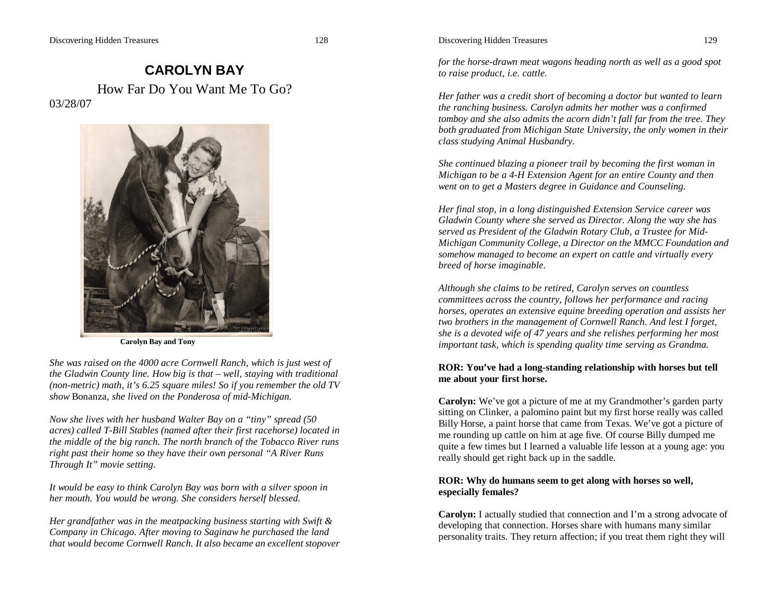# **CAROLYN BAY** How Far Do You Want Me To Go? 03/28/07



**Carolyn Bay and Tony**

*She was raised on the 4000 acre Cornwell Ranch, which is just west of the Gladwin County line. How big is that – well, staying with traditional (non-metric) math, it's 6.25 square miles! So if you remember the old TV show* Bonanza*, she lived on the Ponderosa of mid-Michigan.*

*Now she lives with her husband Walter Bay on a "tiny" spread (50 acres) called T-Bill Stables (named after their first racehorse) located in the middle of the big ranch. The north branch of the Tobacco River runs right past their home so they have their own personal "A River Runs Through It" movie setting.*

*It would be easy to think Carolyn Bay was born with a silver spoon in her mouth. You would be wrong. She considers herself blessed.* 

*Her grandfather was in the meatpacking business starting with Swift & Company in Chicago. After moving to Saginaw he purchased the land that would become Cornwell Ranch. It also became an excellent stopover* 

#### Discovering Hidden Treasures 129

*for the horse-drawn meat wagons heading north as well as a good spot to raise product, i.e. cattle.*

*Her father was a credit short of becoming a doctor but wanted to learn the ranching business. Carolyn admits her mother was a confirmed tomboy and she also admits the acorn didn't fall far from the tree. They both graduated from Michigan State University, the only women in their class studying Animal Husbandry.*

*She continued blazing a pioneer trail by becoming the first woman in Michigan to be a 4-H Extension Agent for an entire County and then went on to get a Masters degree in Guidance and Counseling.* 

*Her final stop, in a long distinguished Extension Service career was Gladwin County where she served as Director. Along the way she has served as President of the Gladwin Rotary Club, a Trustee for Mid-Michigan Community College, a Director on the MMCC Foundation and somehow managed to become an expert on cattle and virtually every breed of horse imaginable.* 

*Although she claims to be retired, Carolyn serves on countless committees across the country, follows her performance and racing horses, operates an extensive equine breeding operation and assists her two brothers in the management of Cornwell Ranch. And lest I forget, she is a devoted wife of 47 years and she relishes performing her most important task, which is spending quality time serving as Grandma.*

#### **ROR: You've had a long-standing relationship with horses but tell me about your first horse.**

**Carolyn:** We've got a picture of me at my Grandmother's garden party sitting on Clinker, a palomino paint but my first horse really was called Billy Horse, a paint horse that came from Texas. We've got a picture of me rounding up cattle on him at age five. Of course Billy dumped me quite a few times but I learned a valuable life lesson at a young age: you really should get right back up in the saddle.

## **ROR: Why do humans seem to get along with horses so well, especially females?**

**Carolyn:** I actually studied that connection and I'm a strong advocate of developing that connection. Horses share with humans many similar personality traits. They return affection; if you treat them right they will